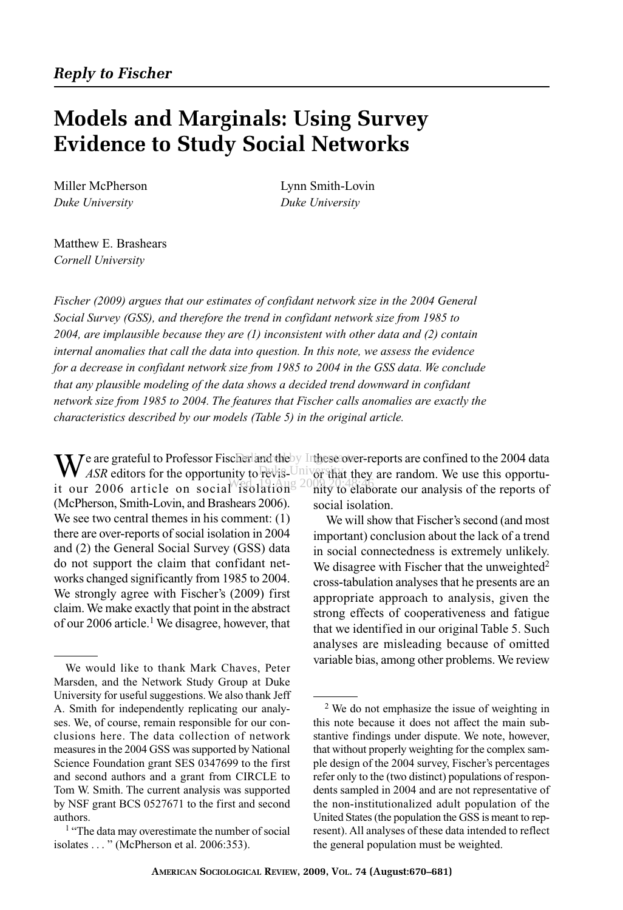# **Models and Marginals: Using Survey Evidence to Study Social Networks**

*Duke University Duke University*

Miller McPherson Lynn Smith-Lovin

Matthew E. Brashears *Cornell University*

*Fischer (2009) argues that our estimates of confidant network size in the 2004 General Social Survey (GSS), and therefore the trend in confidant network size from 1985 to 2004, are implausible because they are (1) inconsistent with other data and (2) contain internal anomalies that call the data into question. In this note, we assess the evidence for a decrease in confidant network size from 1985 to 2004 in the GSS data. We conclude that any plausible modeling of the data shows a decided trend downward in confidant network size from 1985 to 2004. The features that Fischer calls anomalies are exactly the characteristics described by our models (Table 5) in the original article.*

We are grateful to Professor Fischer and the by Inthese over-reports are confined to the 2004 data<br>ASR editors for the opportunity to revisible invertant they are random. We use this opportunity ASR editors for the opportunity to revis-University it our 2006 article on social isolations  $2000, 2004$ (McPherson, Smith-Lovin, and Brashears 2006). We see two central themes in his comment:  $(1)$ there are over-reports of social isolation in 2004 and (2) the General Social Survey (GSS) data do not support the claim that confidant networks changed significantly from 1985 to 2004. We strongly agree with Fischer's (2009) first claim. We make exactly that point in the abstract of our 2006 article.1 We disagree, however, that

or that they are random. We use this opportunity to elaborate our analysis of the reports of social isolation.

We will show that Fischer's second (and most important) conclusion about the lack of a trend in social connectedness is extremely unlikely. We disagree with Fischer that the unweighted $2$ cross-tabulation analyses that he presents are an appropriate approach to analysis, given the strong effects of cooperativeness and fatigue that we identified in our original Table 5. Such analyses are misleading because of omitted variable bias, among other problems. We review

We would like to thank Mark Chaves, Peter Marsden, and the Network Study Group at Duke University for useful suggestions. We also thank Jeff A. Smith for independently replicating our analyses. We, of course, remain responsible for our conclusions here. The data collection of network measures in the 2004 GSS was supported by National Science Foundation grant SES 0347699 to the first and second authors and a grant from CIRCLE to Tom W. Smith. The current analysis was supported by NSF grant BCS 0527671 to the first and second authors.

<sup>&</sup>lt;sup>1</sup> "The data may overestimate the number of social isolates ..." (McPherson et al. 2006:353).

<sup>2</sup> We do not emphasize the issue of weighting in this note because it does not affect the main substantive findings under dispute. We note, however, that without properly weighting for the complex sample design of the 2004 survey, Fischer's percentages refer only to the (two distinct) populations of respondents sampled in 2004 and are not representative of the non-institutionalized adult population of the United States (the population the GSS is meant to represent). All analyses of these data intended to reflect the general population must be weighted.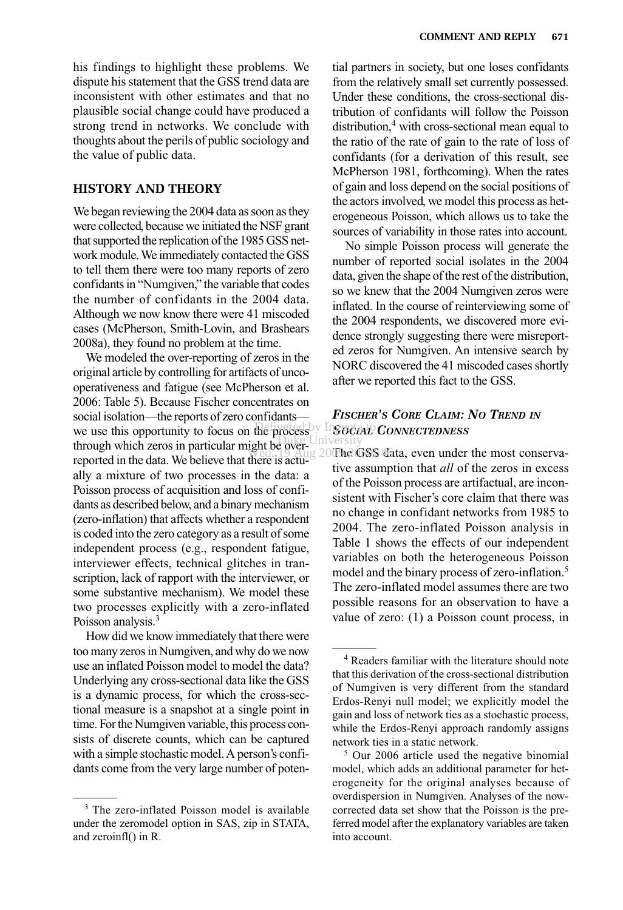his findings to highlight these problems. We dispute his statement that the GSS trend data are inconsistent with other estimates and that no plausible social change could have produced a strong trend in networks. We conclude with thoughts about the perils of public sociology and the value of public data.

#### **HISTORY AND THEORY**

We began reviewing the 2004 data as soon as they were collected, because we initiated the NSF grant that supported the replication of the 1985 GSS network module. We immediately contacted the GSS to tell them there were too many reports of zero confidants in "Numgiven," the variable that codes the number of confidants in the 2004 data. Although we now know there were 41 miscoded cases (McPherson, Smith-Lovin, and Brashears 2008a), they found no problem at the time.

We modeled the over-reporting of zeros in the original article by controlling for artifacts of uncooperativeness and fatigue (see McPherson et al. 2006: Table 5). Because Fischer concentrates on social isolation—the reports of zero confidants we use this opportunity to focus on the process through which zeros in particular might be overreported in the data. We believe that there is actually a mixture of two processes in the data: a Poisson process of acquisition and loss of confidants as described below, and a binary mechanism (zero-inflation) that affects whether a respondent is coded into the zero category as a result of some independent process (e.g., respondent fatigue, interviewer effects, technical glitches in transcription, lack of rapport with the interviewer, or some substantive mechanism). We model these two processes explicitly with a zero-inflated Poisson analysis.<sup>3</sup>

How did we know immediately that there were too many zeros in Numgiven, and why do we now use an inflated Poisson model to model the data? Underlying any cross-sectional data like the GSS is a dynamic process, for which the cross-sectional measure is a snapshot at a single point in time. For the Numgiven variable, this process consists of discrete counts, which can be captured with a simple stochastic model. A person's confidants come from the very large number of poten-

tial partners in society, but one loses confidants from the relatively small set currently possessed. Under these conditions, the cross-sectional distribution of confidants will follow the Poisson distribution,<sup>4</sup> with cross-sectional mean equal to the ratio of the rate of gain to the rate of loss of confidants (for a derivation of this result, see McPherson 1981, forthcoming). When the rates of gain and loss depend on the social positions of the actors involved, we model this process as heterogeneous Poisson, which allows us to take the sources of variability in those rates into account.

No simple Poisson process will generate the number of reported social isolates in the 2004 data, given the shape of the rest of the distribution, so we knew that the 2004 Numgiven zeros were inflated. In the course of reinterviewing some of the 2004 respondents, we discovered more evidence strongly suggesting there were misreported zeros for Numgiven. An intensive search by NORC discovered the 41 miscoded cases shortly after we reported this fact to the GSS.

# *FISCHER'S CORE CLAIM: NO TREND IN* **RE** processly InSOCIAL **CONNECTEDNESS**

Wed, 19 Aug 20The GSS data, even under the most conservative assumption that *all* of the zeros in excess of the Poisson process are artifactual, are inconsistent with Fischer's core claim that there was no change in confidant networks from 1985 to 2004. The zero-inflated Poisson analysis in Table 1 shows the effects of our independent variables on both the heterogeneous Poisson model and the binary process of zero-inflation.5 The zero-inflated model assumes there are two possible reasons for an observation to have a value of zero: (1) a Poisson count process, in

<sup>&</sup>lt;sup>3</sup> The zero-inflated Poisson model is available under the zeromodel option in SAS, zip in STATA, and zeroinfl() in R.

<sup>4</sup> Readers familiar with the literature should note that this derivation of the cross-sectional distribution of Numgiven is very different from the standard Erdos-Renyi null model; we explicitly model the gain and loss of network ties as a stochastic process, while the Erdos-Renyi approach randomly assigns network ties in a static network.

<sup>5</sup> Our 2006 article used the negative binomial model, which adds an additional parameter for heterogeneity for the original analyses because of overdispersion in Numgiven. Analyses of the nowcorrected data set show that the Poisson is the preferred model after the explanatory variables are taken into account.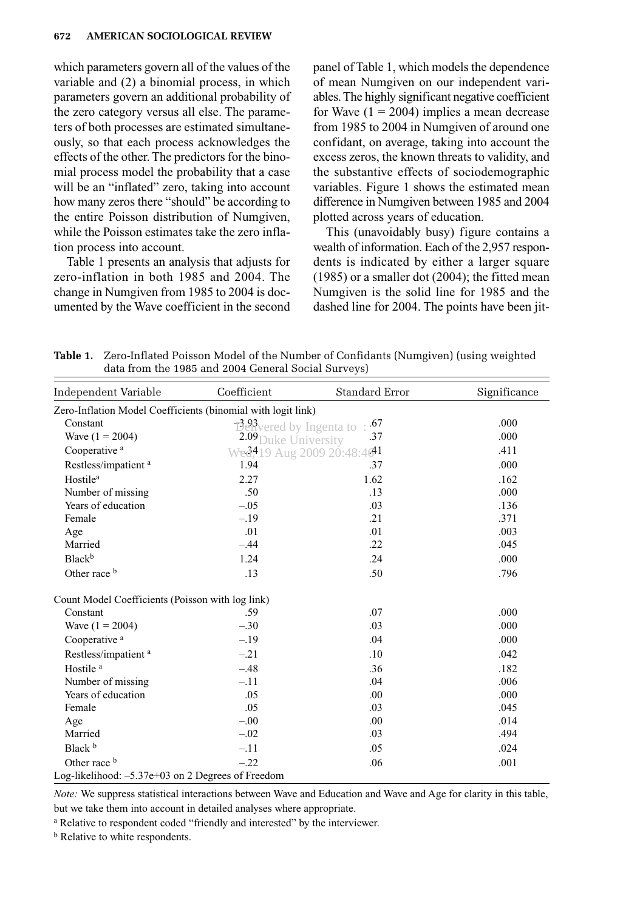which parameters govern all of the values of the variable and (2) a binomial process, in which parameters govern an additional probability of the zero category versus all else. The parameters of both processes are estimated simultaneously, so that each process acknowledges the effects of the other. The predictors for the binomial process model the probability that a case will be an "inflated" zero, taking into account how many zeros there "should" be according to the entire Poisson distribution of Numgiven, while the Poisson estimates take the zero inflation process into account.

Table 1 presents an analysis that adjusts for zero-inflation in both 1985 and 2004. The change in Numgiven from 1985 to 2004 is documented by the Wave coefficient in the second panel of Table 1, which models the dependence of mean Numgiven on our independent variables. The highly significant negative coefficient for Wave  $(1 = 2004)$  implies a mean decrease from 1985 to 2004 in Numgiven of around one confidant, on average, taking into account the excess zeros, the known threats to validity, and the substantive effects of sociodemographic variables. Figure 1 shows the estimated mean difference in Numgiven between 1985 and 2004 plotted across years of education.

This (unavoidably busy) figure contains a wealth of information. Each of the 2,957 respondents is indicated by either a larger square (1985) or a smaller dot (2004); the fitted mean Numgiven is the solid line for 1985 and the dashed line for 2004. The points have been jit-

**Table 1.** Zero-Inflated Poisson Model of the Number of Confidants (Numgiven) (using weighted data from the 1985 and 2004 General Social Surveys)

| Independent Variable                                         | Coefficient                                        | Standard Error | Significance |
|--------------------------------------------------------------|----------------------------------------------------|----------------|--------------|
| Zero-Inflation Model Coefficients (binomial with logit link) |                                                    |                |              |
| Constant                                                     | $\mathbb{B}^3$ ered by Ingenta to                  | .67            | .000         |
| Wave $(1 = 2004)$                                            | 2.09 Duke University                               | .37            | .000         |
| Cooperative <sup>a</sup>                                     | Wed <sup>419</sup> Aug 2009 20:48:46 <sup>41</sup> |                | .411         |
| Restless/impatient <sup>a</sup>                              | 1.94                                               | .37            | .000         |
| Hostile <sup>a</sup>                                         | 2.27                                               | 1.62           | .162         |
| Number of missing                                            | .50                                                | .13            | .000         |
| Years of education                                           | $-.05$                                             | .03            | .136         |
| Female                                                       | $-.19$                                             | .21            | .371         |
| Age                                                          | .01                                                | .01            | .003         |
| Married                                                      | $-.44$                                             | .22            | .045         |
| Black <sup>b</sup>                                           | 1.24                                               | .24            | .000         |
| Other race b                                                 | .13                                                | .50            | .796         |
| Count Model Coefficients (Poisson with log link)             |                                                    |                |              |
| Constant                                                     | .59                                                | .07            | .000         |
| Wave $(1 = 2004)$                                            | $-.30$                                             | .03            | .000         |
| Cooperative <sup>a</sup>                                     | $-.19$                                             | .04            | .000         |
| Restless/impatient <sup>a</sup>                              | $-.21$                                             | .10            | .042         |
| Hostile <sup>a</sup>                                         | $-.48$                                             | .36            | .182         |
| Number of missing                                            | $-.11$                                             | .04            | .006         |
| Years of education                                           | .05                                                | .00            | .000         |
| Female                                                       | .05                                                | .03            | .045         |
| Age                                                          | $-.00$                                             | .00.           | .014         |
| Married                                                      | $-.02$                                             | .03            | .494         |
| Black b                                                      | $-.11$                                             | .05            | .024         |
| Other race b                                                 | $-.22$                                             | .06            | .001         |
| Log-likelihood: -5.37e+03 on 2 Degrees of Freedom            |                                                    |                |              |

*Note:* We suppress statistical interactions between Wave and Education and Wave and Age for clarity in this table, but we take them into account in detailed analyses where appropriate.

<sup>a</sup> Relative to respondent coded "friendly and interested" by the interviewer.

**b** Relative to white respondents.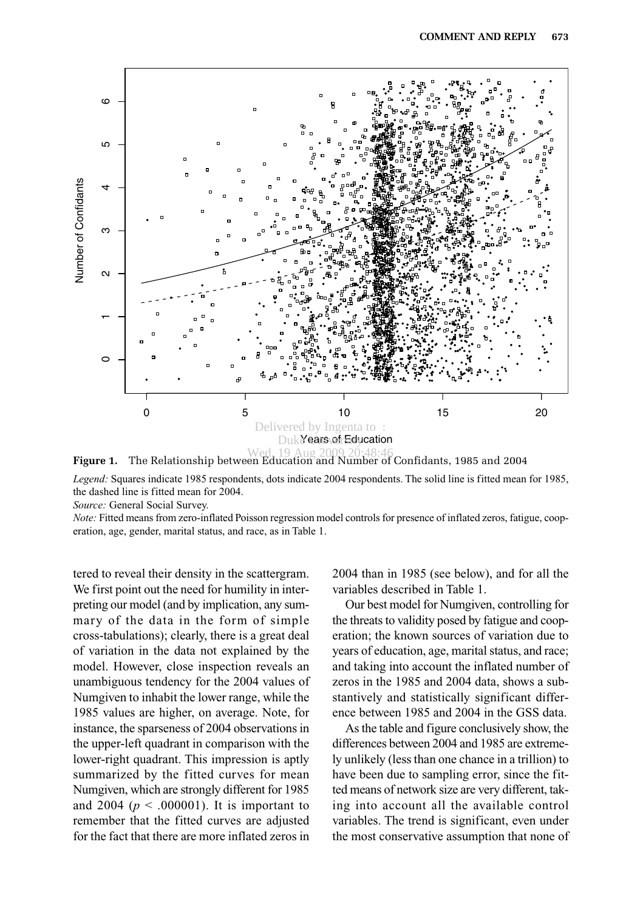



*Legend:* Squares indicate 1985 respondents, dots indicate 2004 respondents. The solid line is fitted mean for 1985, the dashed line is fitted mean for 2004.

*Source:* General Social Survey.

*Note:* Fitted means from zero-inflated Poisson regression model controls for presence of inflated zeros, fatigue, cooperation, age, gender, marital status, and race, as in Table 1.

tered to reveal their density in the scattergram. We first point out the need for humility in interpreting our model (and by implication, any summary of the data in the form of simple cross-tabulations); clearly, there is a great deal of variation in the data not explained by the model. However, close inspection reveals an unambiguous tendency for the 2004 values of Numgiven to inhabit the lower range, while the 1985 values are higher, on average. Note, for instance, the sparseness of 2004 observations in the upper-left quadrant in comparison with the lower-right quadrant. This impression is aptly summarized by the fitted curves for mean Numgiven, which are strongly different for 1985 and 2004 ( $p < .000001$ ). It is important to remember that the fitted curves are adjusted for the fact that there are more inflated zeros in 2004 than in 1985 (see below), and for all the variables described in Table 1.

Our best model for Numgiven, controlling for the threats to validity posed by fatigue and cooperation; the known sources of variation due to years of education, age, marital status, and race; and taking into account the inflated number of zeros in the 1985 and 2004 data, shows a substantively and statistically significant difference between 1985 and 2004 in the GSS data.

As the table and figure conclusively show, the differences between 2004 and 1985 are extremely unlikely (less than one chance in a trillion) to have been due to sampling error, since the fitted means of network size are very different, taking into account all the available control variables. The trend is significant, even under the most conservative assumption that none of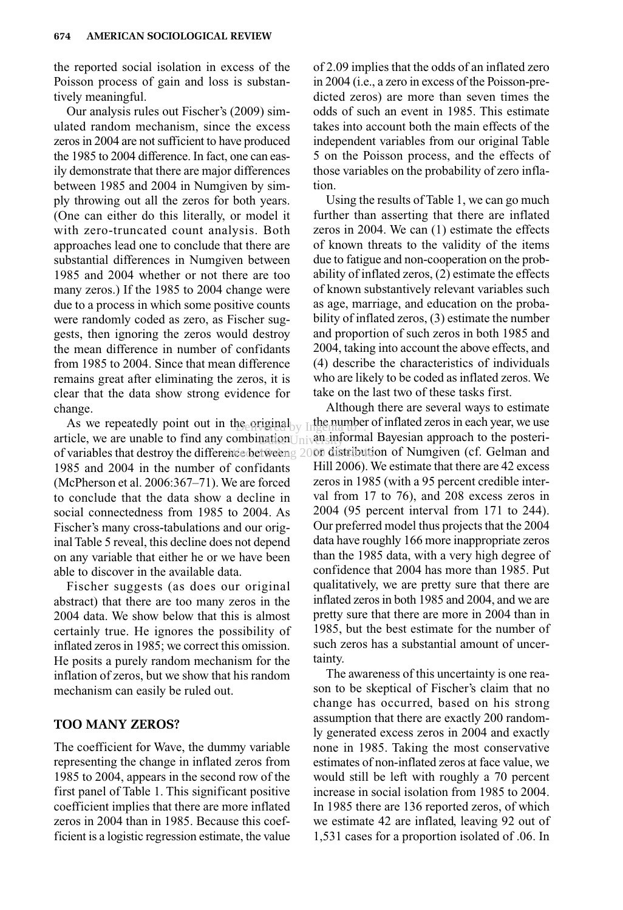the reported social isolation in excess of the Poisson process of gain and loss is substantively meaningful.

Our analysis rules out Fischer's (2009) simulated random mechanism, since the excess zeros in 2004 are not sufficient to have produced the 1985 to 2004 difference. In fact, one can easily demonstrate that there are major differences between 1985 and 2004 in Numgiven by simply throwing out all the zeros for both years. (One can either do this literally, or model it with zero-truncated count analysis. Both approaches lead one to conclude that there are substantial differences in Numgiven between 1985 and 2004 whether or not there are too many zeros.) If the 1985 to 2004 change were due to a process in which some positive counts were randomly coded as zero, as Fischer suggests, then ignoring the zeros would destroy the mean difference in number of confidants from 1985 to 2004. Since that mean difference remains great after eliminating the zeros, it is clear that the data show strong evidence for change.

As we repeatedly point out in the original As we repeatedly point out in the equal  $\frac{1}{2}$  in the number of milated zeros in each year, we use article, we are unable to find any combination  $\frac{1}{2}$  in  $\frac{1}{2}$  informal Bayesian approach to the posteriof variables that destroy the difference betweeng 2009 distribution of Numgiven (cf. Gelman and 1985 and 2004 in the number of confidants (McPherson et al. 2006:367–71). We are forced to conclude that the data show a decline in social connectedness from 1985 to 2004. As Fischer's many cross-tabulations and our original Table 5 reveal, this decline does not depend on any variable that either he or we have been able to discover in the available data. nationUniversity

Fischer suggests (as does our original abstract) that there are too many zeros in the 2004 data. We show below that this is almost certainly true. He ignores the possibility of inflated zeros in 1985; we correct this omission. He posits a purely random mechanism for the inflation of zeros, but we show that his random mechanism can easily be ruled out.

#### **TOO MANY ZEROS?**

The coefficient for Wave, the dummy variable representing the change in inflated zeros from 1985 to 2004, appears in the second row of the first panel of Table 1. This significant positive coefficient implies that there are more inflated zeros in 2004 than in 1985. Because this coefficient is a logistic regression estimate, the value

of 2.09 implies that the odds of an inflated zero in 2004 (i.e., a zero in excess of the Poisson-predicted zeros) are more than seven times the odds of such an event in 1985. This estimate takes into account both the main effects of the independent variables from our original Table 5 on the Poisson process, and the effects of those variables on the probability of zero inflation.

Using the results of Table 1, we can go much further than asserting that there are inflated zeros in 2004. We can (1) estimate the effects of known threats to the validity of the items due to fatigue and non-cooperation on the probability of inflated zeros, (2) estimate the effects of known substantively relevant variables such as age, marriage, and education on the probability of inflated zeros, (3) estimate the number and proportion of such zeros in both 1985 and 2004, taking into account the above effects, and (4) describe the characteristics of individuals who are likely to be coded as inflated zeros. We take on the last two of these tasks first.

Although there are several ways to estimate the number of inflated zeros in each year, we use Hill 2006). We estimate that there are 42 excess zeros in 1985 (with a 95 percent credible interval from 17 to 76), and 208 excess zeros in 2004 (95 percent interval from 171 to 244). Our preferred model thus projects that the 2004 data have roughly 166 more inappropriate zeros than the 1985 data, with a very high degree of confidence that 2004 has more than 1985. Put qualitatively, we are pretty sure that there are inflated zeros in both 1985 and 2004, and we are pretty sure that there are more in 2004 than in 1985, but the best estimate for the number of such zeros has a substantial amount of uncertainty.

The awareness of this uncertainty is one reason to be skeptical of Fischer's claim that no change has occurred, based on his strong assumption that there are exactly 200 randomly generated excess zeros in 2004 and exactly none in 1985. Taking the most conservative estimates of non-inflated zeros at face value, we would still be left with roughly a 70 percent increase in social isolation from 1985 to 2004. In 1985 there are 136 reported zeros, of which we estimate 42 are inflated, leaving 92 out of 1,531 cases for a proportion isolated of .06. In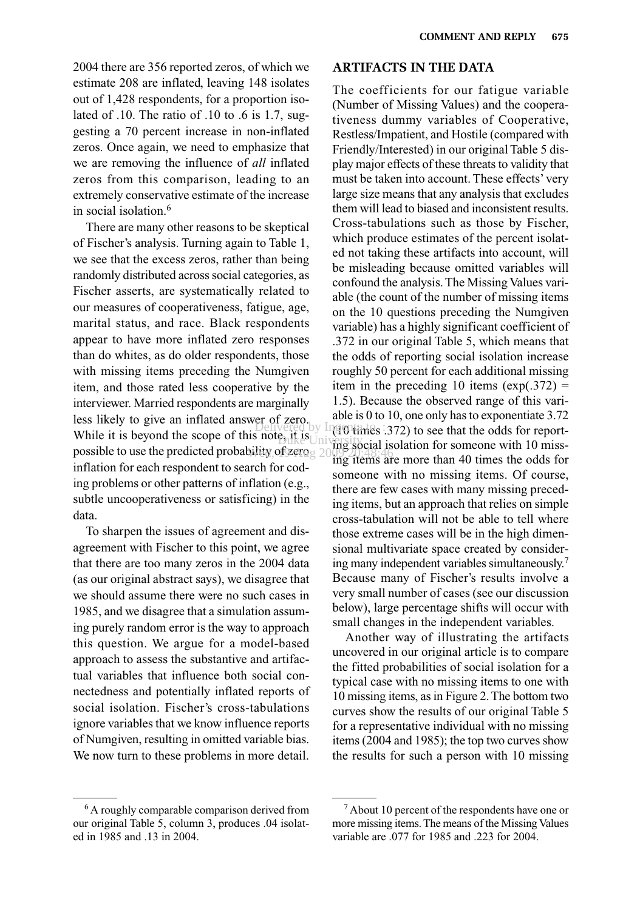2004 there are 356 reported zeros, of which we estimate 208 are inflated, leaving 148 isolates out of 1,428 respondents, for a proportion isolated of .10. The ratio of .10 to .6 is 1.7, suggesting a 70 percent increase in non-inflated zeros. Once again, we need to emphasize that we are removing the influence of *all* inflated zeros from this comparison, leading to an extremely conservative estimate of the increase in social isolation.6

There are many other reasons to be skeptical of Fischer's analysis. Turning again to Table 1, we see that the excess zeros, rather than being randomly distributed across social categories, as Fischer asserts, are systematically related to our measures of cooperativeness, fatigue, age, marital status, and race. Black respondents appear to have more inflated zero responses than do whites, as do older respondents, those with missing items preceding the Numgiven item, and those rated less cooperative by the interviewer. Married respondents are marginally less likely to give an inflated answer of zero. While it is beyond the scope of this note, it is  $\frac{1}{2}$  if  $\frac{1}{2}$  is  $\frac{1}{2}$  if  $\frac{1}{2}$  is  $\frac{1}{2}$  if  $\frac{1}{2}$  is  $\frac{1}{2}$  if  $\frac{1}{2}$  is  $\frac{1}{2}$  if  $\frac{1}{2}$  is  $\frac{1}{2}$  if  $\frac{1}{2}$  is  $\frac{1}{2}$  if  $\frac$ possible to use the predicted probability of  $\chi$  and  $\chi$  10  $\frac{1}{2}$  and  $\chi$ inflation for each respondent to search for coding problems or other patterns of inflation (e.g., subtle uncooperativeness or satisficing) in the data.

To sharpen the issues of agreement and disagreement with Fischer to this point, we agree that there are too many zeros in the 2004 data (as our original abstract says), we disagree that we should assume there were no such cases in 1985, and we disagree that a simulation assuming purely random error is the way to approach this question. We argue for a model-based approach to assess the substantive and artifactual variables that influence both social connectedness and potentially inflated reports of social isolation. Fischer's cross-tabulations ignore variables that we know influence reports of Numgiven, resulting in omitted variable bias. We now turn to these problems in more detail.

#### <sup>6</sup> A roughly comparable comparison derived from our original Table 5, column 3, produces .04 isolated in 1985 and .13 in 2004.

# **ARTIFACTS IN THE DATA**

The coefficients for our fatigue variable (Number of Missing Values) and the cooperativeness dummy variables of Cooperative, Restless/Impatient, and Hostile (compared with Friendly/Interested) in our original Table 5 display major effects of these threats to validity that must be taken into account. These effects' very large size means that any analysis that excludes them will lead to biased and inconsistent results. Cross-tabulations such as those by Fischer, which produce estimates of the percent isolated not taking these artifacts into account, will be misleading because omitted variables will confound the analysis. The Missing Values variable (the count of the number of missing items on the 10 questions preceding the Numgiven variable) has a highly significant coefficient of .372 in our original Table 5, which means that the odds of reporting social isolation increase roughly 50 percent for each additional missing item in the preceding 10 items  $(exp(.372) =$ 1.5). Because the observed range of this variable is 0 to 10, one only has to exponentiate 3.72  $\frac{1}{2}$  Delivered by Ingmittimes .372) to see that the odds for reporting social isolation for someone with 10 missing items are more than 40 times the odds for someone with no missing items. Of course, there are few cases with many missing preceding items, but an approach that relies on simple cross-tabulation will not be able to tell where those extreme cases will be in the high dimensional multivariate space created by considering many independent variables simultaneously.7 Because many of Fischer's results involve a very small number of cases (see our discussion below), large percentage shifts will occur with small changes in the independent variables.

> Another way of illustrating the artifacts uncovered in our original article is to compare the fitted probabilities of social isolation for a typical case with no missing items to one with 10 missing items, as in Figure 2. The bottom two curves show the results of our original Table 5 for a representative individual with no missing items (2004 and 1985); the top two curves show the results for such a person with 10 missing

<sup>7</sup> About 10 percent of the respondents have one or more missing items. The means of the Missing Values variable are .077 for 1985 and .223 for 2004.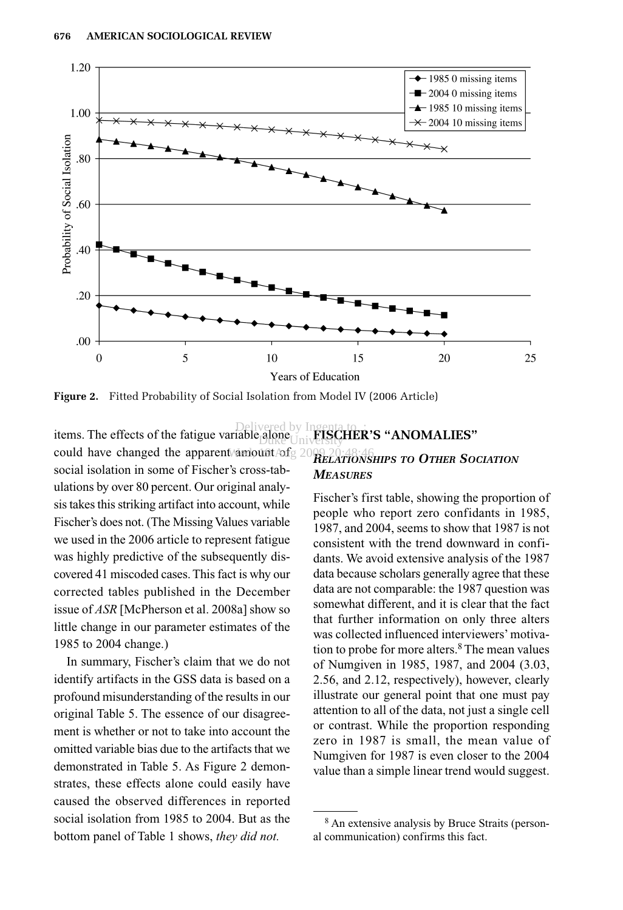

**Figure 2.** Fitted Probability of Social Isolation from Model IV (2006 Article)

items. The effects of the fatigue variable alone  $\bigcup_{\text{init}}$  FISC could have changed the apparent Mamount  $\text{Adg 2009-20:48:46}$ social isolation in some of Fischer's cross-tabulations by over 80 percent. Our original analysis takes this striking artifact into account, while Fischer's does not. (The Missing Values variable we used in the 2006 article to represent fatigue was highly predictive of the subsequently discovered 41 miscoded cases. This fact is why our corrected tables published in the December issue of *ASR* [McPherson et al. 2008a] show so little change in our parameter estimates of the 1985 to 2004 change.)

In summary, Fischer's claim that we do not identify artifacts in the GSS data is based on a profound misunderstanding of the results in our original Table 5. The essence of our disagreement is whether or not to take into account the omitted variable bias due to the artifacts that we demonstrated in Table 5. As Figure 2 demonstrates, these effects alone could easily have caused the observed differences in reported social isolation from 1985 to 2004. But as the bottom panel of Table 1 shows, *they did not.*

# **FRA**<br> **EXAMPLE ISCHER'S "ANOMALIES"** *RELATIONSHIPS TO OTHER SOCIATION MEASURES*

Fischer's first table, showing the proportion of people who report zero confidants in 1985, 1987, and 2004, seems to show that 1987 is not consistent with the trend downward in confidants. We avoid extensive analysis of the 1987 data because scholars generally agree that these data are not comparable: the 1987 question was somewhat different, and it is clear that the fact that further information on only three alters was collected influenced interviewers'motivation to probe for more alters.8 The mean values of Numgiven in 1985, 1987, and 2004 (3.03, 2.56, and 2.12, respectively), however, clearly illustrate our general point that one must pay attention to all of the data, not just a single cell or contrast. While the proportion responding zero in 1987 is small, the mean value of Numgiven for 1987 is even closer to the 2004 value than a simple linear trend would suggest.

<sup>8</sup> An extensive analysis by Bruce Straits (personal communication) confirms this fact.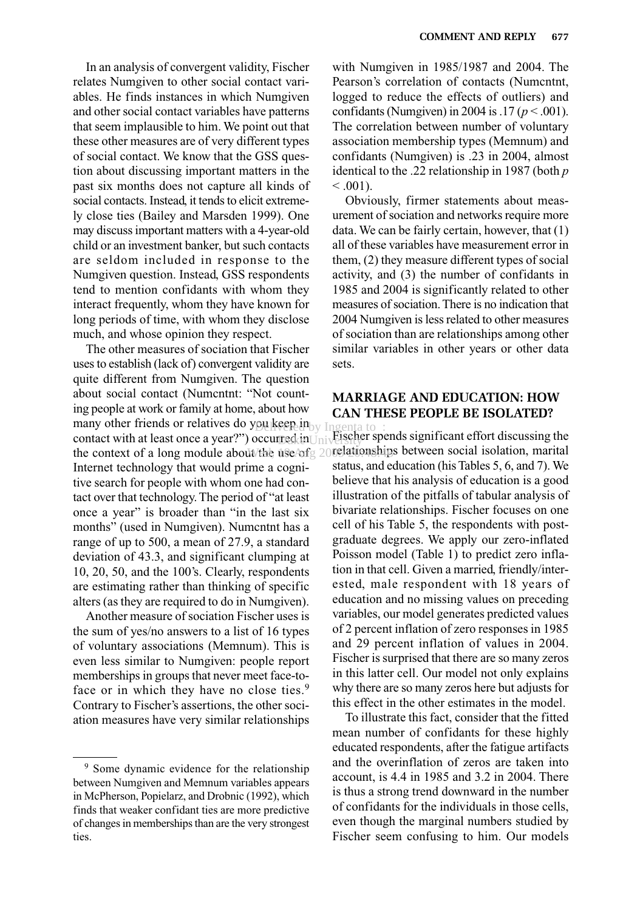In an analysis of convergent validity, Fischer relates Numgiven to other social contact variables. He finds instances in which Numgiven and other social contact variables have patterns that seem implausible to him. We point out that these other measures are of very different types of social contact. We know that the GSS question about discussing important matters in the past six months does not capture all kinds of social contacts. Instead, it tends to elicit extremely close ties (Bailey and Marsden 1999). One may discuss important matters with a 4-year-old child or an investment banker, but such contacts are seldom included in response to the Numgiven question. Instead, GSS respondents tend to mention confidants with whom they interact frequently, whom they have known for long periods of time, with whom they disclose much, and whose opinion they respect.

The other measures of sociation that Fischer uses to establish (lack of) convergent validity are quite different from Numgiven. The question about social contact (Numcntnt: "Not counting people at work or family at home, about how many other friends or relatives do you keep in contact with at least once a year?") occurred in the context of a long module about the use of g 20 relationships between social isolation, marital Internet technology that would prime a cognitive search for people with whom one had contact over that technology. The period of "at least once a year" is broader than "in the last six months" (used in Numgiven). Numcntnt has a range of up to 500, a mean of 27.9, a standard deviation of 43.3, and significant clumping at 10, 20, 50, and the 100's. Clearly, respondents are estimating rather than thinking of specific alters (as they are required to do in Numgiven). med.inUniversery

Another measure of sociation Fischer uses is the sum of yes/no answers to a list of 16 types of voluntary associations (Memnum). This is even less similar to Numgiven: people report memberships in groups that never meet face-toface or in which they have no close ties.<sup>9</sup> Contrary to Fischer's assertions, the other sociation measures have very similar relationships

with Numgiven in 1985/1987 and 2004. The Pearson's correlation of contacts (Numcntnt, logged to reduce the effects of outliers) and confidants (Numgiven) in 2004 is .17 (*p* < .001). The correlation between number of voluntary association membership types (Memnum) and confidants (Numgiven) is .23 in 2004, almost identical to the .22 relationship in 1987 (both *p*  $< 0.001$ ).

Obviously, firmer statements about measurement of sociation and networks require more data. We can be fairly certain, however, that (1) all of these variables have measurement error in them, (2) they measure different types of social activity, and (3) the number of confidants in 1985 and 2004 is significantly related to other measures of sociation. There is no indication that 2004 Numgiven is less related to other measures of sociation than are relationships among other similar variables in other years or other data sets.

## **MARRIAGE AND EDUCATION: HOW CAN THESE PEOPLE BE ISOLATED?**

pursent in Ingenta to :<br>pecurred in Iniverseder spends significant effort discussing the status, and education (his Tables 5, 6, and 7). We believe that his analysis of education is a good illustration of the pitfalls of tabular analysis of bivariate relationships. Fischer focuses on one cell of his Table 5, the respondents with postgraduate degrees. We apply our zero-inflated Poisson model (Table 1) to predict zero inflation in that cell. Given a married, friendly/interested, male respondent with 18 years of education and no missing values on preceding variables, our model generates predicted values of 2 percent inflation of zero responses in 1985 and 29 percent inflation of values in 2004. Fischer is surprised that there are so many zeros in this latter cell. Our model not only explains why there are so many zeros here but adjusts for this effect in the other estimates in the model.

> To illustrate this fact, consider that the fitted mean number of confidants for these highly educated respondents, after the fatigue artifacts and the overinflation of zeros are taken into account, is 4.4 in 1985 and 3.2 in 2004. There is thus a strong trend downward in the number of confidants for the individuals in those cells, even though the marginal numbers studied by Fischer seem confusing to him. Our models

<sup>9</sup> Some dynamic evidence for the relationship between Numgiven and Memnum variables appears in McPherson, Popielarz, and Drobnic (1992), which finds that weaker confidant ties are more predictive of changes in memberships than are the very strongest ties.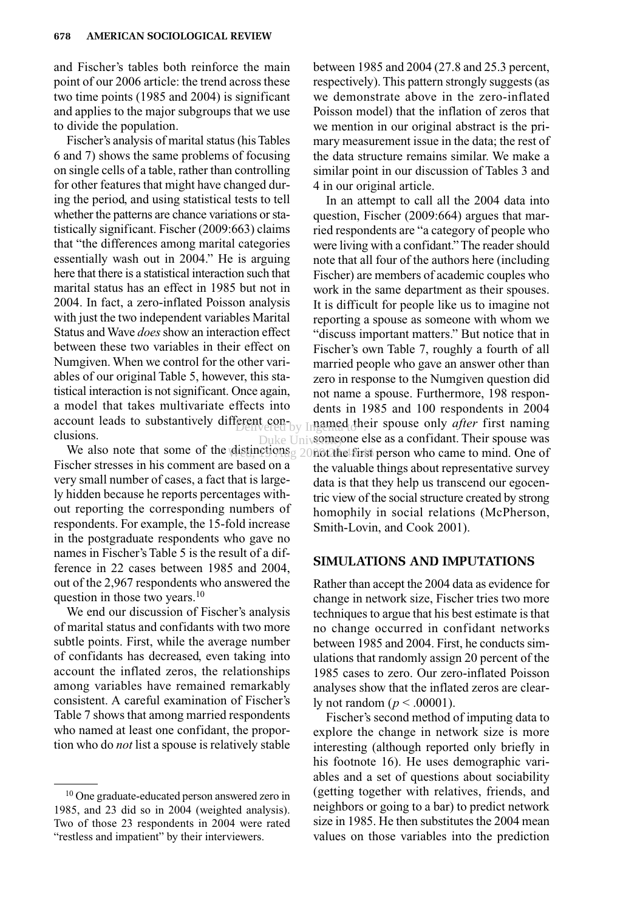and Fischer's tables both reinforce the main point of our 2006 article: the trend across these two time points (1985 and 2004) is significant and applies to the major subgroups that we use to divide the population.

Fischer's analysis of marital status (his Tables 6 and 7) shows the same problems of focusing on single cells of a table, rather than controlling for other features that might have changed during the period, and using statistical tests to tell whether the patterns are chance variations or statistically significant. Fischer (2009:663) claims that "the differences among marital categories essentially wash out in 2004." He is arguing here that there is a statistical interaction such that marital status has an effect in 1985 but not in 2004. In fact, a zero-inflated Poisson analysis with just the two independent variables Marital Status and Wave *does*show an interaction effect between these two variables in their effect on Numgiven. When we control for the other variables of our original Table 5, however, this statistical interaction is not significant. Once again, a model that takes multivariate effects into account leads to substantively different conclusions. Delivered by Ingemed the

Fischer stresses in his comment are based on a very small number of cases, a fact that is largely hidden because he reports percentages without reporting the corresponding numbers of respondents. For example, the 15-fold increase in the postgraduate respondents who gave no names in Fischer's Table 5 is the result of a difference in 22 cases between 1985 and 2004, out of the 2,967 respondents who answered the question in those two years.<sup>10</sup>

We end our discussion of Fischer's analysis of marital status and confidants with two more subtle points. First, while the average number of confidants has decreased, even taking into account the inflated zeros, the relationships among variables have remained remarkably consistent. A careful examination of Fischer's Table 7 shows that among married respondents who named at least one confidant, the proportion who do *not* list a spouse is relatively stable

between 1985 and 2004 (27.8 and 25.3 percent, respectively). This pattern strongly suggests (as we demonstrate above in the zero-inflated Poisson model) that the inflation of zeros that we mention in our original abstract is the primary measurement issue in the data; the rest of the data structure remains similar. We make a similar point in our discussion of Tables 3 and 4 in our original article.

We also note that some of the distinctions  $g$  2006 the first person who came to mind. One of In an attempt to call all the 2004 data into question, Fischer (2009:664) argues that married respondents are "a category of people who were living with a confidant." The reader should note that all four of the authors here (including Fischer) are members of academic couples who work in the same department as their spouses. It is difficult for people like us to imagine not reporting a spouse as someone with whom we "discuss important matters." But notice that in Fischer's own Table 7, roughly a fourth of all married people who gave an answer other than zero in response to the Numgiven question did not name a spouse. Furthermore, 198 respondents in 1985 and 100 respondents in 2004 named their spouse only *after* first naming someone else as a confidant. Their spouse was the valuable things about representative survey data is that they help us transcend our egocentric view of the social structure created by strong homophily in social relations (McPherson, Smith-Lovin, and Cook 2001). Duke Univ**some**s

#### **SIMULATIONS AND IMPUTATIONS**

Rather than accept the 2004 data as evidence for change in network size, Fischer tries two more techniques to argue that his best estimate is that no change occurred in confidant networks between 1985 and 2004. First, he conducts simulations that randomly assign 20 percent of the 1985 cases to zero. Our zero-inflated Poisson analyses show that the inflated zeros are clearly not random ( $p < .00001$ ).

Fischer's second method of imputing data to explore the change in network size is more interesting (although reported only briefly in his footnote 16). He uses demographic variables and a set of questions about sociability (getting together with relatives, friends, and neighbors or going to a bar) to predict network size in 1985. He then substitutes the 2004 mean values on those variables into the prediction

<sup>10</sup> One graduate-educated person answered zero in 1985, and 23 did so in 2004 (weighted analysis). Two of those 23 respondents in 2004 were rated "restless and impatient" by their interviewers.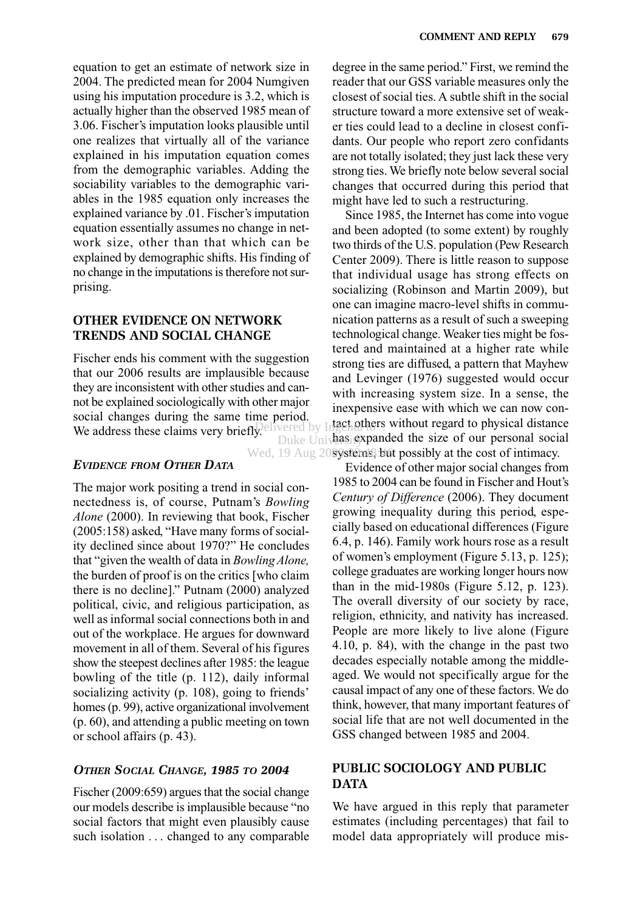equation to get an estimate of network size in 2004. The predicted mean for 2004 Numgiven using his imputation procedure is 3.2, which is actually higher than the observed 1985 mean of 3.06. Fischer's imputation looks plausible until one realizes that virtually all of the variance explained in his imputation equation comes from the demographic variables. Adding the sociability variables to the demographic variables in the 1985 equation only increases the explained variance by .01. Fischer's imputation equation essentially assumes no change in network size, other than that which can be explained by demographic shifts. His finding of no change in the imputations is therefore not surprising.

#### **OTHER EVIDENCE ON NETWORK TRENDS AND SOCIAL CHANGE**

Fischer ends his comment with the suggestion that our 2006 results are implausible because they are inconsistent with other studies and cannot be explained sociologically with other major social changes during the same time period. We address these claims very briefly. Elivered by Infact others

# *EVIDENCE FROM OTHER DATA*

The major work positing a trend in social connectedness is, of course, Putnam's *Bowling Alone* (2000). In reviewing that book, Fischer (2005:158) asked, "Have many forms of sociality declined since about 1970?" He concludes that "given the wealth of data in *Bowling Alone,* the burden of proof is on the critics [who claim there is no decline]." Putnam (2000) analyzed political, civic, and religious participation, as well as informal social connections both in and out of the workplace. He argues for downward movement in all of them. Several of his figures show the steepest declines after 1985: the league bowling of the title (p. 112), daily informal socializing activity (p. 108), going to friends' homes (p. 99), active organizational involvement (p. 60), and attending a public meeting on town or school affairs (p. 43).

#### *OTHER SOCIAL CHANGE, 1985 TO 2004*

Fischer (2009:659) argues that the social change our models describe is implausible because "no social factors that might even plausibly cause such isolation ... changed to any comparable degree in the same period." First, we remind the reader that our GSS variable measures only the closest of social ties. A subtle shift in the social structure toward a more extensive set of weaker ties could lead to a decline in closest confidants. Our people who report zero confidants are not totally isolated; they just lack these very strong ties. We briefly note below several social changes that occurred during this period that might have led to such a restructuring.

Since 1985, the Internet has come into vogue and been adopted (to some extent) by roughly two thirds of the U.S. population (Pew Research Center 2009). There is little reason to suppose that individual usage has strong effects on socializing (Robinson and Martin 2009), but one can imagine macro-level shifts in communication patterns as a result of such a sweeping technological change. Weaker ties might be fostered and maintained at a higher rate while strong ties are diffused, a pattern that Mayhew and Levinger (1976) suggested would occur with increasing system size. In a sense, the inexpensive ease with which we can now contact others without regard to physical distance Duke University Duke is the size of our personal social Wed, 19 Aug 2089sfems, but possibly at the cost of intimacy.

Evidence of other major social changes from 1985 to 2004 can be found in Fischer and Hout's *Century of Difference* (2006). They document growing inequality during this period, especially based on educational differences (Figure 6.4, p. 146). Family work hours rose as a result of women's employment (Figure 5.13, p. 125); college graduates are working longer hours now than in the mid-1980s (Figure 5.12, p. 123). The overall diversity of our society by race, religion, ethnicity, and nativity has increased. People are more likely to live alone (Figure 4.10, p. 84), with the change in the past two decades especially notable among the middleaged. We would not specifically argue for the causal impact of any one of these factors. We do think, however, that many important features of social life that are not well documented in the GSS changed between 1985 and 2004.

# **PUBLIC SOCIOLOGY AND PUBLIC DATA**

We have argued in this reply that parameter estimates (including percentages) that fail to model data appropriately will produce mis-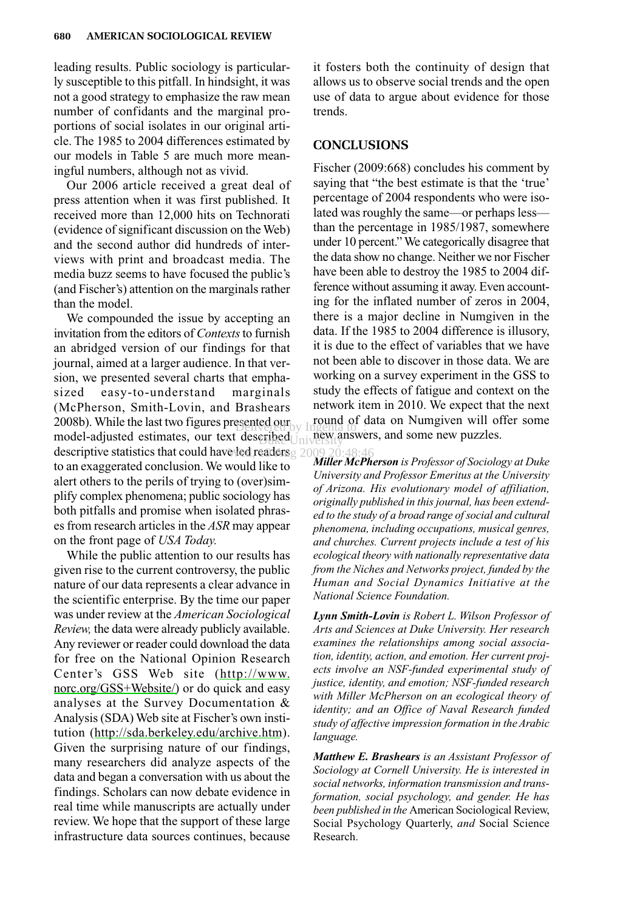leading results. Public sociology is particularly susceptible to this pitfall. In hindsight, it was not a good strategy to emphasize the raw mean number of confidants and the marginal proportions of social isolates in our original article. The 1985 to 2004 differences estimated by our models in Table 5 are much more meaningful numbers, although not as vivid.

Our 2006 article received a great deal of press attention when it was first published. It received more than 12,000 hits on Technorati (evidence of significant discussion on the Web) and the second author did hundreds of interviews with print and broadcast media. The media buzz seems to have focused the public's (and Fischer's) attention on the marginals rather than the model.

We compounded the issue by accepting an invitation from the editors of *Contexts*to furnish an abridged version of our findings for that journal, aimed at a larger audience. In that version, we presented several charts that emphasized easy-to-understand marginals (McPherson, Smith-Lovin, and Brashears 2008b). While the last two figures presented our  $\frac{1}{2}$  round of  $\alpha$ model-adjusted estimates, our text described  $\bigcup_{i=1}^{n}$  new a descriptive statistics that could have led readers  $2009, 20:48:46$ to an exaggerated conclusion. We would like to alert others to the perils of trying to (over)simplify complex phenomena; public sociology has both pitfalls and promise when isolated phrases from research articles in the *ASR* may appear on the front page of *USA Today.*

While the public attention to our results has given rise to the current controversy, the public nature of our data represents a clear advance in the scientific enterprise. By the time our paper was under review at the *American Sociological Review,* the data were already publicly available. Any reviewer or reader could download the data for free on the National Opinion Research Center's GSS Web site [\(http://www.](http://www.norc.org/GSS+Website/) [norc.org/GSS+Website/\)](http://www.norc.org/GSS+Website/) or do quick and easy analyses at the Survey Documentation & Analysis (SDA) Web site at Fischer's own institution (<http://sda.berkeley.edu/archive.htm>). Given the surprising nature of our findings, many researchers did analyze aspects of the data and began a conversation with us about the findings. Scholars can now debate evidence in real time while manuscripts are actually under review. We hope that the support of these large infrastructure data sources continues, because it fosters both the continuity of design that allows us to observe social trends and the open use of data to argue about evidence for those trends.

#### **CONCLUSIONS**

Fischer (2009:668) concludes his comment by saying that "the best estimate is that the 'true' percentage of 2004 respondents who were isolated was roughly the same—or perhaps less than the percentage in 1985/1987, somewhere under 10 percent." We categorically disagree that the data show no change. Neither we nor Fischer have been able to destroy the 1985 to 2004 difference without assuming it away. Even accounting for the inflated number of zeros in 2004, there is a major decline in Numgiven in the data. If the 1985 to 2004 difference is illusory, it is due to the effect of variables that we have not been able to discover in those data. We are working on a survey experiment in the GSS to study the effects of fatigue and context on the network item in 2010. We expect that the next round of data on Numgiven will offer some new answers, and some new puzzles.

*Miller McPherson is Professor of Sociology at Duke University and Professor Emeritus at the University of Arizona. His evolutionary model of affiliation, originally published in this journal, has been extended to the study of a broad range of social and cultural phenomena, including occupations, musical genres, and churches. Current projects include a test of his ecological theory with nationally representative data from the Niches and Networks project, funded by the Human and Social Dynamics Initiative at the National Science Foundation.*

*Lynn Smith-Lovin is Robert L. Wilson Professor of Arts and Sciences at Duke University. Her research examines the relationships among social association, identity, action, and emotion. Her current projects involve an NSF-funded experimental study of justice, identity, and emotion; NSF-funded research with Miller McPherson on an ecological theory of identity; and an Office of Naval Research funded study of affective impression formation in the Arabic language.*

*Matthew E. Brashears is an Assistant Professor of Sociology at Cornell University. He is interested in social networks, information transmission and transformation, social psychology, and gender. He has been published in the* American Sociological Review, Social Psychology Quarterly, *and* Social Science Research.